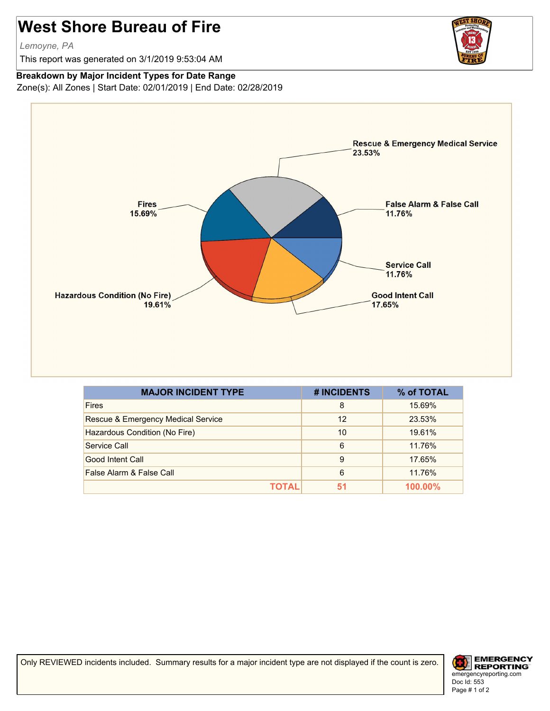## **West Shore Bureau of Fire**

*Lemoyne, PA*

This report was generated on 3/1/2019 9:53:04 AM



## **Breakdown by Major Incident Types for Date Range**

Zone(s): All Zones | Start Date: 02/01/2019 | End Date: 02/28/2019



| <b>MAJOR INCIDENT TYPE</b>         | # INCIDENTS | % of TOTAL |
|------------------------------------|-------------|------------|
| <b>Fires</b>                       | 8           | 15.69%     |
| Rescue & Emergency Medical Service | 12          | 23.53%     |
| Hazardous Condition (No Fire)      | 10          | 19.61%     |
| Service Call                       | 6           | 11.76%     |
| Good Intent Call                   | 9           | 17.65%     |
| False Alarm & False Call           | 6           | 11.76%     |
| ΤΟΤΑL                              | 51          | $100.00\%$ |

Only REVIEWED incidents included. Summary results for a major incident type are not displayed if the count is zero.